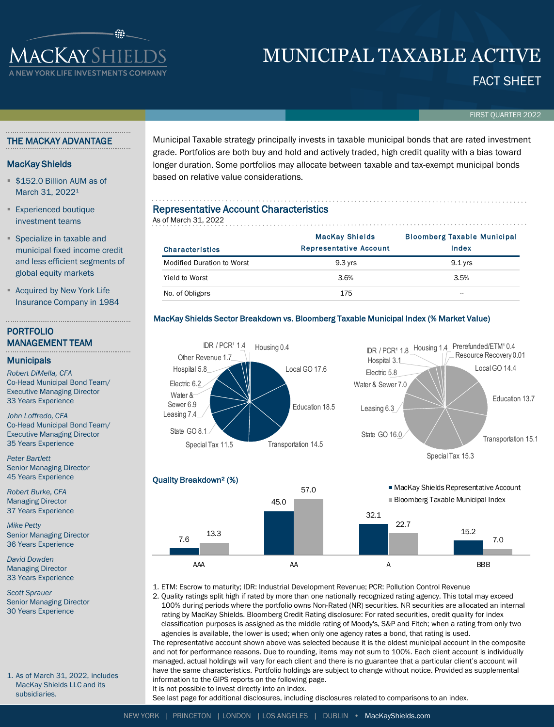# MUNICIPAL TAXABLE ACTIVE

## FACT SHEET

FIRST QUARTER 2022

#### THE MACKAY ADVANTAGE

**IACKAYSHIELI** 

#### MacKay Shields

- **\$152.0 Billion AUM as of** March 31, 2022<sup>1</sup>
- **Experienced boutique** investment teams
- Specialize in taxable and municipal fixed income credit and less efficient segments of global equity markets
- **Acquired by New York Life** Insurance Company in 1984

#### PORTFOLIO MANAGEMENT TEAM

#### **Municipals**

*Robert DiMella, CFA* Co-Head Municipal Bond Team/ Executive Managing Director 33 Years Experience

*John Loffredo, CFA* Co-Head Municipal Bond Team/ Executive Managing Director 35 Years Experience

*Peter Bartlett* Senior Managing Director 45 Years Experience

*Robert Burke, CFA* Managing Director 37 Years Experience

*Mike Petty* Senior Managing Director 36 Years Experience

*David Dowden* Managing Director 33 Years Experience

*Scott Sprauer* Senior Managing Director 30 Years Experience

1. As of March 31, 2022, includes MacKay Shields LLC and its subsidiaries.

Municipal Taxable strategy principally invests in taxable municipal bonds that are rated investment grade. Portfolios are both buy and hold and actively traded, high credit quality with a bias toward longer duration. Some portfolios may allocate between taxable and tax-exempt municipal bonds based on relative value considerations.

### Representative Account Characteristics

| <b>Representative Account Characteristics</b><br>As of March 31, 2022 |                                                        |                                             |  |  |  |  |  |  |  |
|-----------------------------------------------------------------------|--------------------------------------------------------|---------------------------------------------|--|--|--|--|--|--|--|
| <b>Characteristics</b>                                                | <b>MacKay Shields</b><br><b>Representative Account</b> | <b>Bloomberg Taxable Municipal</b><br>Index |  |  |  |  |  |  |  |
| <b>Modified Duration to Worst</b>                                     | $9.3$ yrs                                              | $9.1$ yrs                                   |  |  |  |  |  |  |  |
| Yield to Worst                                                        | 3.6%                                                   | 3.5%                                        |  |  |  |  |  |  |  |
| No. of Obligors                                                       | 175                                                    | --                                          |  |  |  |  |  |  |  |

#### MacKay Shields Sector Breakdown vs. Bloomberg Taxable Municipal Index (% Market Value)





1. ETM: Escrow to maturity; IDR: Industrial Development Revenue; PCR: Pollution Control Revenue

2. Quality ratings split high if rated by more than one nationally recognized rating agency. This total may exceed 100% during periods where the portfolio owns Non-Rated (NR) securities. NR securities are allocated an internal rating by MacKay Shields. Bloomberg Credit Rating disclosure: For rated securities, credit quality for index classification purposes is assigned as the middle rating of Moody's, S&P and Fitch; when a rating from only two agencies is available, the lower is used; when only one agency rates a bond, that rating is used. The representative account shown above was selected because it is the oldest municipal account in the composite and not for performance reasons. Due to rounding, items may not sum to 100%. Each client account is individually

managed, actual holdings will vary for each client and there is no guarantee that a particular client's account will have the same characteristics. Portfolio holdings are subject to change without notice. Provided as supplemental information to the GIPS reports on the following page.

It is not possible to invest directly into an index.

See last page for additional disclosures, including disclosures related to comparisons to an index.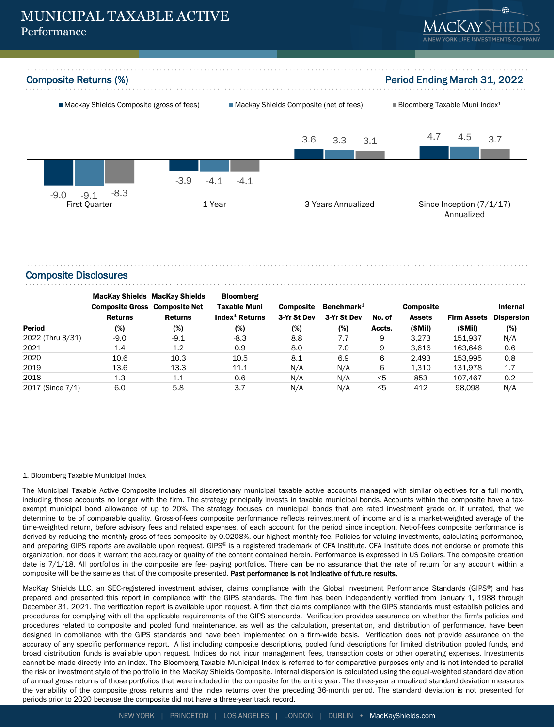



#### Composite Disclosures

|                  | <b>MacKay Shields MacKay Shields</b><br><b>Composite Gross Composite Net</b> |                | <b>Bloomberg</b><br><b>Taxable Muni</b> | <b>Composite</b> | Benchmark $1$ |          | <b>Composite</b> |                    | Internal          |  |  |
|------------------|------------------------------------------------------------------------------|----------------|-----------------------------------------|------------------|---------------|----------|------------------|--------------------|-------------------|--|--|
|                  | <b>Returns</b>                                                               | <b>Returns</b> | Index <sup>1</sup> Returns              | 3-Yr St Dev      | 3-Yr St Dev   | No. of   | <b>Assets</b>    | <b>Firm Assets</b> | <b>Dispersion</b> |  |  |
| <b>Period</b>    | (%)                                                                          | (%)            | (%)                                     | (%)              | (%)           | Accts.   | (SMil)           | (SMII)             | (%)               |  |  |
| 2022 (Thru 3/31) | $-9.0$                                                                       | $-9.1$         | $-8.3$                                  | 8.8              | 7.7           | 9        | 3.273            | 151.937            | N/A               |  |  |
| 2021             | 1.4                                                                          | 1.2            | 0.9                                     | 8.0              | 7.0           | 9        | 3.616            | 163.646            | 0.6               |  |  |
| 2020             | 10.6                                                                         | 10.3           | 10.5                                    | 8.1              | 6.9           | 6        | 2.493            | 153,995            | 0.8               |  |  |
| 2019             | 13.6                                                                         | 13.3           | 11.1                                    | N/A              | N/A           | 6        | 1.310            | 131.978            | 1.7               |  |  |
| 2018             | 1.3                                                                          | 1.1            | 0.6                                     | N/A              | N/A           | $\leq 5$ | 853              | 107.467            | 0.2               |  |  |
| 2017 (Since 7/1) | 6.0                                                                          | 5.8            | 3.7                                     | N/A              | N/A           | $\leq 5$ | 412              | 98.098             | N/A               |  |  |

#### 1. Bloomberg Taxable Municipal Index

The Municipal Taxable Active Composite includes all discretionary municipal taxable active accounts managed with similar objectives for a full month, including those accounts no longer with the firm. The strategy principally invests in taxable municipal bonds. Accounts within the composite have a taxexempt municipal bond allowance of up to 20%. The strategy focuses on municipal bonds that are rated investment grade or, if unrated, that we determine to be of comparable quality. Gross-of-fees composite performance reflects reinvestment of income and is a market-weighted average of the time-weighted return, before advisory fees and related expenses, of each account for the period since inception. Net-of-fees composite performance is derived by reducing the monthly gross-of-fees composite by 0.0208%, our highest monthly fee. Policies for valuing investments, calculating performance, and preparing GIPS reports are available upon request. GIPS® is a registered trademark of CFA Institute. CFA Institute does not endorse or promote this organization, nor does it warrant the accuracy or quality of the content contained herein. Performance is expressed in US Dollars. The composite creation date is 7/1/18. All portfolios in the composite are fee- paying portfolios. There can be no assurance that the rate of return for any account within a composite will be the same as that of the composite presented. Past performance is not indicative of future results.

MacKay Shields LLC, an SEC-registered investment adviser, claims compliance with the Global Investment Performance Standards (GIPS®) and has prepared and presented this report in compliance with the GIPS standards. The firm has been independently verified from January 1, 1988 through December 31, 2021. The verification report is available upon request. A firm that claims compliance with the GIPS standards must establish policies and procedures for complying with all the applicable requirements of the GIPS standards. Verification provides assurance on whether the firm's policies and procedures related to composite and pooled fund maintenance, as well as the calculation, presentation, and distribution of performance, have been designed in compliance with the GIPS standards and have been implemented on a firm-wide basis. Verification does not provide assurance on the accuracy of any specific performance report. A list including composite descriptions, pooled fund descriptions for limited distribution pooled funds, and broad distribution funds is available upon request. Indices do not incur management fees, transaction costs or other operating expenses. Investments cannot be made directly into an index. The Bloomberg Taxable Municipal Index is referred to for comparative purposes only and is not intended to parallel the risk or investment style of the portfolio in the MacKay Shields Composite. Internal dispersion is calculated using the equal-weighted standard deviation of annual gross returns of those portfolios that were included in the composite for the entire year. The three-year annualized standard deviation measures the variability of the composite gross returns and the index returns over the preceding 36-month period. The standard deviation is not presented for periods prior to 2020 because the composite did not have a three-year track record.